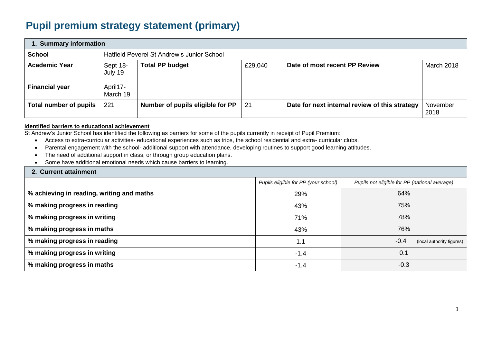## **Pupil premium strategy statement (primary)**

| 1. Summary information                        |                                             |                                            |         |                                                |                  |  |  |
|-----------------------------------------------|---------------------------------------------|--------------------------------------------|---------|------------------------------------------------|------------------|--|--|
| <b>School</b>                                 |                                             | Hatfield Peverel St Andrew's Junior School |         |                                                |                  |  |  |
| <b>Academic Year</b><br><b>Financial year</b> | Sept 18-<br>July 19<br>April17-<br>March 19 | <b>Total PP budget</b>                     | £29,040 | Date of most recent PP Review                  | March 2018       |  |  |
| Total number of pupils                        | 221                                         | Number of pupils eligible for PP           | -21     | Date for next internal review of this strategy | November<br>2018 |  |  |

## **Identified barriers to educational achievement**

St Andrew's Junior School has identified the following as barriers for some of the pupils currently in receipt of Pupil Premium:

- Access to extra-curricular activities- educational experiences such as trips, the school residential and extra- curricular clubs.
- Parental engagement with the school- additional support with attendance, developing routines to support good learning attitudes.
- The need of additional support in class, or through group education plans.
- Some have additional emotional needs which cause barriers to learning.

## **2. Current attainment**

| 2. Jan Julia allan morit                  |                                      |                                               |
|-------------------------------------------|--------------------------------------|-----------------------------------------------|
|                                           | Pupils eligible for PP (your school) | Pupils not eligible for PP (national average) |
| % achieving in reading, writing and maths | 29%                                  | 64%                                           |
| % making progress in reading              | 43%                                  | 75%                                           |
| % making progress in writing              | 71%                                  | 78%                                           |
| % making progress in maths                | 43%                                  | 76%                                           |
| % making progress in reading              | 1.1                                  | $-0.4$<br>(local authority figures)           |
| % making progress in writing              | $-1.4$                               | 0.1                                           |
| % making progress in maths                | $-1.4$                               | $-0.3$                                        |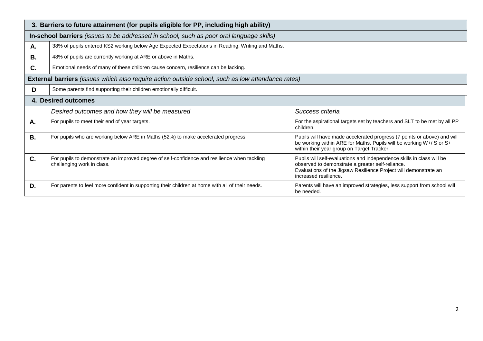|           | 3. Barriers to future attainment (for pupils eligible for PP, including high ability)                                      |                                                                                                                                                                                                                        |  |  |  |  |  |
|-----------|----------------------------------------------------------------------------------------------------------------------------|------------------------------------------------------------------------------------------------------------------------------------------------------------------------------------------------------------------------|--|--|--|--|--|
|           | In-school barriers (issues to be addressed in school, such as poor oral language skills)                                   |                                                                                                                                                                                                                        |  |  |  |  |  |
| Α.        | 38% of pupils entered KS2 working below Age Expected Expectations in Reading, Writing and Maths.                           |                                                                                                                                                                                                                        |  |  |  |  |  |
| В.        | 48% of pupils are currently working at ARE or above in Maths.                                                              |                                                                                                                                                                                                                        |  |  |  |  |  |
| C.        | Emotional needs of many of these children cause concern, resilience can be lacking.                                        |                                                                                                                                                                                                                        |  |  |  |  |  |
|           | <b>External barriers</b> (issues which also require action outside school, such as low attendance rates)                   |                                                                                                                                                                                                                        |  |  |  |  |  |
| D         | Some parents find supporting their children emotionally difficult.                                                         |                                                                                                                                                                                                                        |  |  |  |  |  |
|           | 4. Desired outcomes                                                                                                        |                                                                                                                                                                                                                        |  |  |  |  |  |
|           | Desired outcomes and how they will be measured                                                                             | Success criteria                                                                                                                                                                                                       |  |  |  |  |  |
| Α.        | For pupils to meet their end of year targets.                                                                              | For the aspirational targets set by teachers and SLT to be met by all PP<br>children.                                                                                                                                  |  |  |  |  |  |
| <b>B.</b> | For pupils who are working below ARE in Maths (52%) to make accelerated progress.                                          | Pupils will have made accelerated progress (7 points or above) and will<br>be working within ARE for Maths. Pupils will be working W+/ S or S+<br>within their year group on Target Tracker.                           |  |  |  |  |  |
| C.        | For pupils to demonstrate an improved degree of self-confidence and resilience when tackling<br>challenging work in class. | Pupils will self-evaluations and independence skills in class will be<br>observed to demonstrate a greater self-reliance.<br>Evaluations of the Jigsaw Resilience Project will demonstrate an<br>increased resilience. |  |  |  |  |  |
| D.        | For parents to feel more confident in supporting their children at home with all of their needs.                           | Parents will have an improved strategies, less support from school will<br>be needed.                                                                                                                                  |  |  |  |  |  |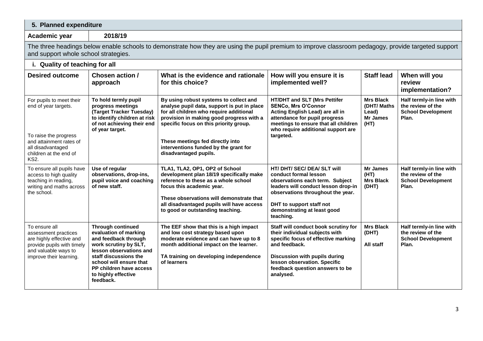| 5. Planned expenditure                                                                                                                                             |                                                                                                                                                                                                                                                  |                                                                                                                                                                                                                                                                                                                              |                                                                                                                                                                                                                                                 |                                                                     |                                                                                     |
|--------------------------------------------------------------------------------------------------------------------------------------------------------------------|--------------------------------------------------------------------------------------------------------------------------------------------------------------------------------------------------------------------------------------------------|------------------------------------------------------------------------------------------------------------------------------------------------------------------------------------------------------------------------------------------------------------------------------------------------------------------------------|-------------------------------------------------------------------------------------------------------------------------------------------------------------------------------------------------------------------------------------------------|---------------------------------------------------------------------|-------------------------------------------------------------------------------------|
| Academic year                                                                                                                                                      | 2018/19                                                                                                                                                                                                                                          |                                                                                                                                                                                                                                                                                                                              |                                                                                                                                                                                                                                                 |                                                                     |                                                                                     |
| and support whole school strategies.                                                                                                                               |                                                                                                                                                                                                                                                  | The three headings below enable schools to demonstrate how they are using the pupil premium to improve classroom pedagogy, provide targeted support                                                                                                                                                                          |                                                                                                                                                                                                                                                 |                                                                     |                                                                                     |
| i. Quality of teaching for all                                                                                                                                     |                                                                                                                                                                                                                                                  |                                                                                                                                                                                                                                                                                                                              |                                                                                                                                                                                                                                                 |                                                                     |                                                                                     |
| <b>Desired outcome</b>                                                                                                                                             | Chosen action /<br>approach                                                                                                                                                                                                                      | What is the evidence and rationale<br>for this choice?                                                                                                                                                                                                                                                                       | How will you ensure it is<br>implemented well?                                                                                                                                                                                                  | <b>Staff lead</b>                                                   | When will you<br>review<br>implementation?                                          |
| For pupils to meet their<br>end of year targets.<br>To raise the progress<br>and attainment rates of<br>all disadvantaged<br>children at the end of<br><b>KS2.</b> | To hold termly pupil<br>progress meetings<br>(Target Tracker Tuesday)<br>to identify children at risk<br>of not achieving their end<br>of year target.                                                                                           | By using robust systems to collect and<br>analyse pupil data, support is put in place<br>for all children who require additional<br>provision in making good progress with a<br>specific focus on this priority group.<br>These meetings fed directly into<br>interventions funded by the grant for<br>disadvantaged pupils. | HT/DHT and SLT (Mrs Pettifer<br><b>SENCo, Mrs O'Connor</b><br>Acting English Lead) are all in<br>attendance for pupil progress<br>meetings to ensure that all children<br>who require additional support are<br>targeted.                       | <b>Mrs Black</b><br>(DHT/ Maths<br>Lead)<br><b>Mr James</b><br>(HT) | Half termly-in line with<br>the review of the<br><b>School Development</b><br>Plan. |
| To ensure all pupils have<br>access to high quality<br>teaching in reading,<br>writing and maths across<br>the school.                                             | Use of regular<br>observations, drop-ins,<br>pupil voice and coaching<br>of new staff.                                                                                                                                                           | TLA1, TLA2, OP1, OP2 of School<br>development plan 18/19 specifically make<br>reference to these as a whole school<br>focus this academic year.<br>These observations will demonstrate that<br>all disadvantaged pupils will have access<br>to good or outstanding teaching.                                                 | HT/ DHT/ SEC/ DEA/ SLT will<br>conduct formal lesson<br>observations each term. Subject<br>leaders will conduct lesson drop-in<br>observations throughout the year.<br>DHT to support staff not<br>demonstrating at least good<br>teaching.     | <b>Mr James</b><br>(HT)<br><b>Mrs Black</b><br>(DHT)                | Half termly-in line with<br>the review of the<br><b>School Development</b><br>Plan. |
| To ensure all<br>assessment practices<br>are highly effective and<br>provide pupils with timely<br>and valuable ways to<br>improve their learning.                 | <b>Through continued</b><br>evaluation of marking<br>and feedback through<br>work scrutiny by SLT,<br>lesson observations and<br>staff discussions the<br>school will ensure that<br>PP children have access<br>to highly effective<br>feedback. | The EEF show that this is a high impact<br>and low cost strategy based upon<br>moderate evidence and can have up to 8<br>month additional impact on the learner.<br>TA training on developing independence<br>of learners                                                                                                    | Staff will conduct book scrutiny for<br>their individual subjects with<br>specific focus of effective marking<br>and feedback.<br>Discussion with pupils during<br>lesson observation. Specific<br>feedback question answers to be<br>analysed. | <b>Mrs Black</b><br>(DHT)<br>All staff                              | Half termly-in line with<br>the review of the<br><b>School Development</b><br>Plan. |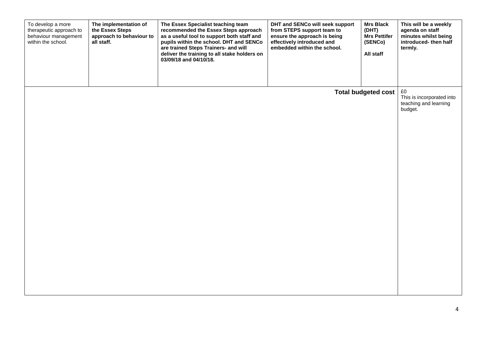| The implementation of<br>To develop a more<br>therapeutic approach to<br>the Essex Steps<br>behaviour management<br>all staff.<br>within the school. | approach to behaviour to<br>03/09/18 and 04/10/18. | The Essex Specialist teaching team<br>recommended the Essex Steps approach<br>as a useful tool to support both staff and<br>pupils within the school. DHT and SENCo<br>are trained Steps Trainers- and will<br>deliver the training to all stake holders on | DHT and SENCo will seek support<br>from STEPS support team to<br>ensure the approach is being<br>effectively introduced and<br>embedded within the school. | <b>Mrs Black</b><br>(DHT)<br><b>Mrs Pettifer</b><br>(SENCo)<br>All staff | This will be a weekly<br>agenda on staff<br>minutes whilst being<br>introduced-then half<br>termly. |
|------------------------------------------------------------------------------------------------------------------------------------------------------|----------------------------------------------------|-------------------------------------------------------------------------------------------------------------------------------------------------------------------------------------------------------------------------------------------------------------|------------------------------------------------------------------------------------------------------------------------------------------------------------|--------------------------------------------------------------------------|-----------------------------------------------------------------------------------------------------|
|                                                                                                                                                      |                                                    |                                                                                                                                                                                                                                                             |                                                                                                                                                            | <b>Total budgeted cost</b>                                               | £0<br>This is incorporated into<br>teaching and learning<br>budget.                                 |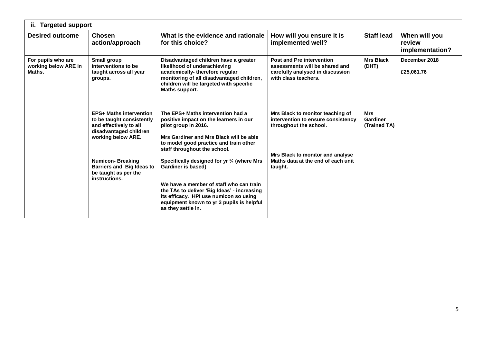| ii. Targeted support                                 |                                                                                                                                       |                                                                                                                                                                                                                                                                          |                                                                                                                                |                                 |                                            |  |
|------------------------------------------------------|---------------------------------------------------------------------------------------------------------------------------------------|--------------------------------------------------------------------------------------------------------------------------------------------------------------------------------------------------------------------------------------------------------------------------|--------------------------------------------------------------------------------------------------------------------------------|---------------------------------|--------------------------------------------|--|
| <b>Desired outcome</b>                               | <b>Chosen</b><br>action/approach                                                                                                      | What is the evidence and rationale<br>for this choice?                                                                                                                                                                                                                   | How will you ensure it is<br>implemented well?                                                                                 | <b>Staff lead</b>               | When will you<br>review<br>implementation? |  |
| For pupils who are<br>working below ARE in<br>Maths. | Small group<br>interventions to be<br>taught across all year<br>groups.                                                               | Disadvantaged children have a greater<br>likelihood of underachieving<br>academically-therefore regular<br>monitoring of all disadvantaged children,<br>children will be targeted with specific<br>Maths support.                                                        | <b>Post and Pre intervention</b><br>assessments will be shared and<br>carefully analysed in discussion<br>with class teachers. | <b>Mrs Black</b><br>(DHT)       | December 2018<br>£25,061.76                |  |
|                                                      | <b>EPS+ Maths intervention</b><br>to be taught consistently<br>and effectively to all<br>disadvantaged children<br>working below ARE. | The EPS+ Maths intervention had a<br>positive impact on the learners in our<br>pilot group in 2016.<br>Mrs Gardiner and Mrs Black will be able<br>to model good practice and train other<br>staff throughout the school.                                                 | Mrs Black to monitor teaching of<br>intervention to ensure consistency<br>throughout the school.                               | Mrs<br>Gardiner<br>(Trained TA) |                                            |  |
|                                                      | <b>Numicon-Breaking</b><br><b>Barriers and Big Ideas to</b><br>be taught as per the<br>instructions.                                  | Specifically designed for yr 3/4 (where Mrs<br>Gardiner is based)<br>We have a member of staff who can train<br>the TAs to deliver 'Big Ideas' - increasing<br>its efficacy. HPI use numicon so using<br>equipment known to yr 3 pupils is helpful<br>as they settle in. | Mrs Black to monitor and analyse<br>Maths data at the end of each unit<br>taught.                                              |                                 |                                            |  |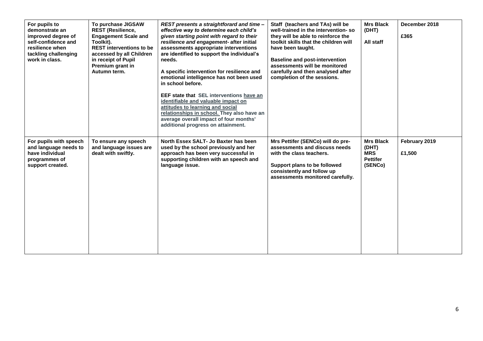| For pupils to<br>demonstrate an<br>improved degree of<br>self-confidence and<br>resilience when<br>tackling challenging<br>work in class. | To purchase JIGSAW<br><b>REST (Resilience,</b><br><b>Engagement Scale and</b><br>Toolkit).<br><b>REST interventions to be</b><br>accessed by all Children<br>in receipt of Pupil<br>Premium grant in<br>Autumn term. | REST presents a straightforard and time-<br>effective way to determine each child's<br>given starting point with regard to their<br>resilience and engagement- after initial<br>assessments appropriate interventions<br>are identified to support the individual's<br>needs.<br>A specific intervention for resilience and<br>emotional intelligence has not been used<br>in school before.<br>EEF state that SEL interventions have an<br>identifiable and valuable impact on<br>attitudes to learning and social<br>relationships in school. They also have an<br>average overall impact of four months'<br>additional progress on attainment. | Staff (teachers and TAs) will be<br>well-trained in the intervention-so<br>they will be able to reinforce the<br>toolkit skills that the children will<br>have been taught.<br><b>Baseline and post-intervention</b><br>assessments will be monitored<br>carefully and then analysed after<br>completion of the sessions. | <b>Mrs Black</b><br>(DHT)<br>All staff                                | December 2018<br>£365   |
|-------------------------------------------------------------------------------------------------------------------------------------------|----------------------------------------------------------------------------------------------------------------------------------------------------------------------------------------------------------------------|---------------------------------------------------------------------------------------------------------------------------------------------------------------------------------------------------------------------------------------------------------------------------------------------------------------------------------------------------------------------------------------------------------------------------------------------------------------------------------------------------------------------------------------------------------------------------------------------------------------------------------------------------|---------------------------------------------------------------------------------------------------------------------------------------------------------------------------------------------------------------------------------------------------------------------------------------------------------------------------|-----------------------------------------------------------------------|-------------------------|
| For pupils with speech<br>and language needs to<br>have individual<br>programmes of<br>support created.                                   | To ensure any speech<br>and language issues are<br>dealt with swiftly.                                                                                                                                               | North Essex SALT- Jo Baxter has been<br>used by the school previously and her<br>approach has been very successful in<br>supporting children with an speech and<br>language issue.                                                                                                                                                                                                                                                                                                                                                                                                                                                                | Mrs Pettifer (SENCo) will do pre-<br>assessments and discuss needs<br>with the class teachers.<br>Support plans to be followed<br>consistently and follow up<br>assessments monitored carefully.                                                                                                                          | <b>Mrs Black</b><br>(DHT)<br><b>MRS</b><br><b>Pettifer</b><br>(SENCo) | February 2019<br>£1,500 |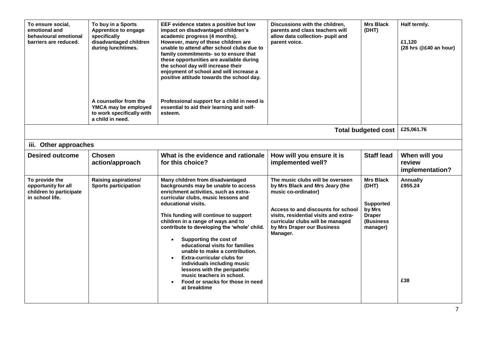| To ensure social,<br>emotional and<br>behavioural emotional<br>barriers are reduced. | To buy in a Sports<br>Apprentice to engage<br>specifically<br>disadvantaged children<br>during lunchtimes.<br>A counsellor from the<br>YMCA may be employed<br>to work specifically with<br>a child in need. | EEF evidence states a positive but low<br>impact on disadvantaged children's<br>academic progress (4 months).<br>However, many of these children are<br>unable to attend after school clubs due to<br>family commitments-so to ensure that<br>these opportunities are available during<br>the school day will increase their<br>enjoyment of school and will increase a<br>positive attitude towards the school day.<br>Professional support for a child in need is<br>essential to aid their learning and self-<br>esteem.                                                                                                | Discussions with the children,<br>parents and class teachers will<br>allow data collection- pupil and<br>parent voice.                                                                                                                                  | <b>Mrs Black</b><br>(DHT)                                                                         | Half termly.<br>£1,120<br>(28 hrs @£40 an hour) |
|--------------------------------------------------------------------------------------|--------------------------------------------------------------------------------------------------------------------------------------------------------------------------------------------------------------|----------------------------------------------------------------------------------------------------------------------------------------------------------------------------------------------------------------------------------------------------------------------------------------------------------------------------------------------------------------------------------------------------------------------------------------------------------------------------------------------------------------------------------------------------------------------------------------------------------------------------|---------------------------------------------------------------------------------------------------------------------------------------------------------------------------------------------------------------------------------------------------------|---------------------------------------------------------------------------------------------------|-------------------------------------------------|
|                                                                                      |                                                                                                                                                                                                              |                                                                                                                                                                                                                                                                                                                                                                                                                                                                                                                                                                                                                            |                                                                                                                                                                                                                                                         | <b>Total budgeted cost</b>                                                                        | £25,061.76                                      |
| iii. Other approaches                                                                |                                                                                                                                                                                                              |                                                                                                                                                                                                                                                                                                                                                                                                                                                                                                                                                                                                                            |                                                                                                                                                                                                                                                         |                                                                                                   |                                                 |
| <b>Desired outcome</b>                                                               | <b>Chosen</b><br>action/approach                                                                                                                                                                             | What is the evidence and rationale<br>for this choice?                                                                                                                                                                                                                                                                                                                                                                                                                                                                                                                                                                     | How will you ensure it is<br>implemented well?                                                                                                                                                                                                          | <b>Staff lead</b>                                                                                 | When will you<br>review<br>implementation?      |
| To provide the<br>opportunity for all<br>children to participate<br>in school life.  | Raising aspirations/<br><b>Sports participation</b>                                                                                                                                                          | Many children from disadvantaged<br>backgrounds may be unable to access<br>enrichment activities, such as extra-<br>curricular clubs, music lessons and<br>educational visits.<br>This funding will continue to support<br>children in a range of ways and to<br>contribute to developing the 'whole' child.<br>Supporting the cost of<br>$\bullet$<br>educational visits for families<br>unable to make a contribution.<br><b>Extra-curricular clubs for</b><br>individuals including music<br>lessons with the peripatetic<br>music teachers in school.<br>Food or snacks for those in need<br>$\bullet$<br>at breaktime | The music clubs will be overseen<br>by Mrs Black and Mrs Jeary (the<br>music co-ordinator)<br>Access to and discounts for school<br>visits, residential visits and extra-<br>curricular clubs will be managed<br>by Mrs Draper our Business<br>Manager. | <b>Mrs Black</b><br>(DHT)<br><b>Supported</b><br>by Mrs<br><b>Draper</b><br>(Business<br>manager) | Annually<br>£955.24<br>£38                      |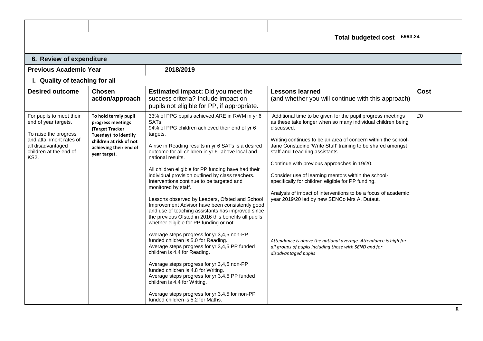|                                                                                                                                                                    |                                                                                                                                                           |                                                                                                                                                                                                                                                                                                                                                                                                                                                                                                                                                                                                                                                                                                                                                                                                                                                                                                                                                                                                                                                                                                                                                   |                                                                                                                                                                                                                                                                                                                                                                                                                                                                                                                                                                                                                                                                                                                                               | <b>Total budgeted cost</b> | £993.24 |      |
|--------------------------------------------------------------------------------------------------------------------------------------------------------------------|-----------------------------------------------------------------------------------------------------------------------------------------------------------|---------------------------------------------------------------------------------------------------------------------------------------------------------------------------------------------------------------------------------------------------------------------------------------------------------------------------------------------------------------------------------------------------------------------------------------------------------------------------------------------------------------------------------------------------------------------------------------------------------------------------------------------------------------------------------------------------------------------------------------------------------------------------------------------------------------------------------------------------------------------------------------------------------------------------------------------------------------------------------------------------------------------------------------------------------------------------------------------------------------------------------------------------|-----------------------------------------------------------------------------------------------------------------------------------------------------------------------------------------------------------------------------------------------------------------------------------------------------------------------------------------------------------------------------------------------------------------------------------------------------------------------------------------------------------------------------------------------------------------------------------------------------------------------------------------------------------------------------------------------------------------------------------------------|----------------------------|---------|------|
|                                                                                                                                                                    |                                                                                                                                                           |                                                                                                                                                                                                                                                                                                                                                                                                                                                                                                                                                                                                                                                                                                                                                                                                                                                                                                                                                                                                                                                                                                                                                   |                                                                                                                                                                                                                                                                                                                                                                                                                                                                                                                                                                                                                                                                                                                                               |                            |         |      |
| 6. Review of expenditure                                                                                                                                           |                                                                                                                                                           |                                                                                                                                                                                                                                                                                                                                                                                                                                                                                                                                                                                                                                                                                                                                                                                                                                                                                                                                                                                                                                                                                                                                                   |                                                                                                                                                                                                                                                                                                                                                                                                                                                                                                                                                                                                                                                                                                                                               |                            |         |      |
| <b>Previous Academic Year</b>                                                                                                                                      |                                                                                                                                                           | 2018/2019                                                                                                                                                                                                                                                                                                                                                                                                                                                                                                                                                                                                                                                                                                                                                                                                                                                                                                                                                                                                                                                                                                                                         |                                                                                                                                                                                                                                                                                                                                                                                                                                                                                                                                                                                                                                                                                                                                               |                            |         |      |
|                                                                                                                                                                    | i. Quality of teaching for all                                                                                                                            |                                                                                                                                                                                                                                                                                                                                                                                                                                                                                                                                                                                                                                                                                                                                                                                                                                                                                                                                                                                                                                                                                                                                                   |                                                                                                                                                                                                                                                                                                                                                                                                                                                                                                                                                                                                                                                                                                                                               |                            |         |      |
| <b>Desired outcome</b>                                                                                                                                             | <b>Chosen</b><br>action/approach                                                                                                                          | <b>Estimated impact:</b> Did you meet the<br>success criteria? Include impact on<br>pupils not eligible for PP, if appropriate.                                                                                                                                                                                                                                                                                                                                                                                                                                                                                                                                                                                                                                                                                                                                                                                                                                                                                                                                                                                                                   | <b>Lessons learned</b><br>(and whether you will continue with this approach)                                                                                                                                                                                                                                                                                                                                                                                                                                                                                                                                                                                                                                                                  |                            |         | Cost |
| For pupils to meet their<br>end of year targets.<br>To raise the progress<br>and attainment rates of<br>all disadvantaged<br>children at the end of<br><b>KS2.</b> | To hold termly pupil<br>progress meetings<br>(Target Tracker<br>Tuesday) to identify<br>children at risk of not<br>achieving their end of<br>year target. | 33% of PPG pupils achieved ARE in RWM in yr 6<br>SAT <sub>s</sub> .<br>94% of PPG children achieved their end of yr 6<br>targets.<br>A rise in Reading results in yr 6 SATs is a desired<br>outcome for all children in yr 6- above local and<br>national results.<br>All children eligible for PP funding have had their<br>individual provision outlined by class teachers.<br>Interventions continue to be targeted and<br>monitored by staff.<br>Lessons observed by Leaders, Ofsted and School<br>Improvement Advisor have been consistently good<br>and use of teaching assistants has improved since<br>the previous Ofsted in 2016 this benefits all pupils<br>whether eligible for PP funding or not.<br>Average steps progress for yr 3,4,5 non-PP<br>funded children is 5.0 for Reading.<br>Average steps progress for yr 3,4,5 PP funded<br>children is 4.4 for Reading.<br>Average steps progress for yr 3,4,5 non-PP<br>funded children is 4.8 for Writing.<br>Average steps progress for yr 3,4,5 PP funded<br>children is 4.4 for Writing.<br>Average steps progress for yr 3,4,5 for non-PP<br>funded children is 5.2 for Maths. | Additional time to be given for the pupil progress meetings<br>as these take longer when so many individual children being<br>discussed.<br>Writing continues to be an area of concern within the school-<br>Jane Constadine 'Write Stuff' training to be shared amongst<br>staff and Teaching assistants.<br>Continue with previous approaches in 19/20.<br>Consider use of learning mentors within the school-<br>specifically for children eligible for PP funding.<br>Analysis of impact of interventions to be a focus of academic<br>year 2019/20 led by new SENCo Mrs A. Dutaut.<br>Attendance is above the national average. Attendance is high for<br>all groups of pupils including those with SEND and for<br>disadvantaged pupils |                            |         | £0   |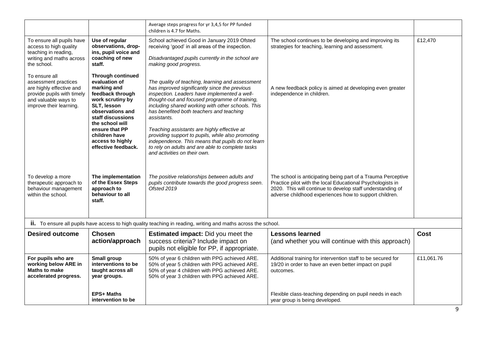|                                                                                                                                                    |                                                                                                                                                                                                                                                           | Average steps progress for yr 3,4,5 for PP funded<br>children is 4.7 for Maths.                                                                                                                                                                                                                                                                                                                                                                                                                                                                                  |                                                                                                                                                                                                                                                    |            |
|----------------------------------------------------------------------------------------------------------------------------------------------------|-----------------------------------------------------------------------------------------------------------------------------------------------------------------------------------------------------------------------------------------------------------|------------------------------------------------------------------------------------------------------------------------------------------------------------------------------------------------------------------------------------------------------------------------------------------------------------------------------------------------------------------------------------------------------------------------------------------------------------------------------------------------------------------------------------------------------------------|----------------------------------------------------------------------------------------------------------------------------------------------------------------------------------------------------------------------------------------------------|------------|
| To ensure all pupils have<br>access to high quality<br>teaching in reading,<br>writing and maths across<br>the school.                             | Use of regular<br>observations, drop-<br>ins, pupil voice and<br>coaching of new<br>staff.                                                                                                                                                                | School achieved Good in January 2019 Ofsted<br>receiving 'good' in all areas of the inspection.<br>Disadvantaged pupils currently in the school are<br>making good progress.                                                                                                                                                                                                                                                                                                                                                                                     | The school continues to be developing and improving its<br>strategies for teaching, learning and assessment.                                                                                                                                       | £12,470    |
| To ensure all<br>assessment practices<br>are highly effective and<br>provide pupils with timely<br>and valuable ways to<br>improve their learning. | <b>Through continued</b><br>evaluation of<br>marking and<br>feedback through<br>work scrutiny by<br>SLT, lesson<br>observations and<br>staff discussions<br>the school will<br>ensure that PP<br>children have<br>access to highly<br>effective feedback. | The quality of teaching, learning and assessment<br>has improved significantly since the previous<br>inspection. Leaders have implemented a well-<br>thought-out and focused programme of training,<br>including shared working with other schools. This<br>has benefited both teachers and teaching<br>assistants.<br>Teaching assistants are highly effective at<br>providing support to pupils, while also promoting<br>independence. This means that pupils do not learn<br>to rely on adults and are able to complete tasks<br>and activities on their own. | A new feedback policy is aimed at developing even greater<br>independence in children.                                                                                                                                                             |            |
| To develop a more<br>therapeutic approach to<br>behaviour management<br>within the school.                                                         | The implementation<br>of the Essex Steps<br>approach to<br>behaviour to all<br>staff.                                                                                                                                                                     | The positive relationships between adults and<br>pupils contribute towards the good progress seen.<br>Ofsted 2019                                                                                                                                                                                                                                                                                                                                                                                                                                                | The school is anticipating being part of a Trauma Perceptive<br>Practice pilot with the local Educational Psychologists in<br>2020. This will continue to develop staff understanding of<br>adverse childhood experiences how to support children. |            |
|                                                                                                                                                    |                                                                                                                                                                                                                                                           | <b>ii.</b> To ensure all pupils have access to high quality teaching in reading, writing and maths across the school.                                                                                                                                                                                                                                                                                                                                                                                                                                            |                                                                                                                                                                                                                                                    |            |
| <b>Desired outcome</b>                                                                                                                             | <b>Chosen</b><br>action/approach                                                                                                                                                                                                                          | <b>Estimated impact:</b> Did you meet the<br>success criteria? Include impact on<br>pupils not eligible for PP, if appropriate.                                                                                                                                                                                                                                                                                                                                                                                                                                  | <b>Lessons learned</b><br>(and whether you will continue with this approach)                                                                                                                                                                       | Cost       |
| For pupils who are<br>working below ARE in<br><b>Maths to make</b><br>accelerated progress.                                                        | Small group<br>interventions to be<br>taught across all<br>year groups.                                                                                                                                                                                   | 50% of year 6 children with PPG achieved ARE.<br>50% of year 5 children with PPG achieved ARE.<br>50% of year 4 children with PPG achieved ARE.<br>50% of year 3 children with PPG achieved ARE.                                                                                                                                                                                                                                                                                                                                                                 | Additional training for intervention staff to be secured for<br>19/20 in order to have an even better impact on pupil<br>outcomes.                                                                                                                 | £11,061.76 |
|                                                                                                                                                    | <b>EPS+ Maths</b><br>intervention to be                                                                                                                                                                                                                   |                                                                                                                                                                                                                                                                                                                                                                                                                                                                                                                                                                  | Flexible class-teaching depending on pupil needs in each<br>year group is being developed.                                                                                                                                                         |            |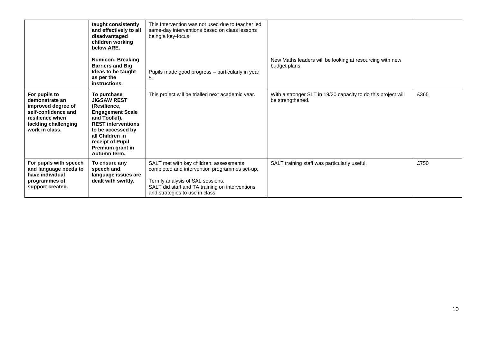|                                                                                                                                           | taught consistently<br>and effectively to all<br>disadvantaged<br>children working<br>below ARE.                                                                                                                           | This Intervention was not used due to teacher led<br>same-day interventions based on class lessons<br>being a key-focus.                                                                                           |                                                                                   |      |
|-------------------------------------------------------------------------------------------------------------------------------------------|----------------------------------------------------------------------------------------------------------------------------------------------------------------------------------------------------------------------------|--------------------------------------------------------------------------------------------------------------------------------------------------------------------------------------------------------------------|-----------------------------------------------------------------------------------|------|
|                                                                                                                                           | <b>Numicon-Breaking</b><br><b>Barriers and Big</b><br>Ideas to be taught<br>as per the<br>instructions.                                                                                                                    | Pupils made good progress - particularly in year<br>5.                                                                                                                                                             | New Maths leaders will be looking at resourcing with new<br>budget plans.         |      |
| For pupils to<br>demonstrate an<br>improved degree of<br>self-confidence and<br>resilience when<br>tackling challenging<br>work in class. | To purchase<br><b>JIGSAW REST</b><br>(Resilience,<br><b>Engagement Scale</b><br>and Toolkit).<br><b>REST interventions</b><br>to be accessed by<br>all Children in<br>receipt of Pupil<br>Premium grant in<br>Autumn term. | This project will be trialled next academic year.                                                                                                                                                                  | With a stronger SLT in 19/20 capacity to do this project will<br>be strengthened. | £365 |
| For pupils with speech<br>and language needs to<br>have individual<br>programmes of<br>support created.                                   | To ensure any<br>speech and<br>language issues are<br>dealt with swiftly.                                                                                                                                                  | SALT met with key children, assessments<br>completed and intervention programmes set-up.<br>Termly analysis of SAL sessions.<br>SALT did staff and TA training on interventions<br>and strategies to use in class. | SALT training staff was particularly useful.                                      | £750 |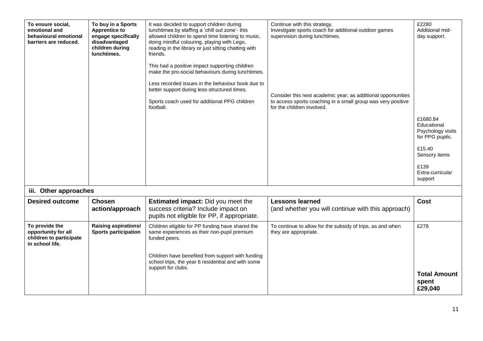| To ensure social,<br>emotional and<br>behavioural emotional<br>barriers are reduced. | To buy in a Sports<br><b>Apprentice to</b><br>engage specifically<br>disadvantaged<br>children during<br>lunchtimes. | It was decided to support children during<br>lunchtimes by staffing a 'chill out zone'- this<br>allowed children to spend time listening to music,<br>doing mindful colouring, playing with Lego,<br>reading in the library or just sitting chatting with<br>friends.<br>This had a positive impact supporting children<br>make the pro-social behaviours during lunchtimes.<br>Less recorded issues in the behaviour book due to<br>better support during less-structured times.<br>Sports coach used for additional PPG children<br>football. | Continue with this strategy.<br>Investigate sports coach for additional outdoor games<br>supervision during lunchtimes.<br>Consider this next academic year; as additional opportunities<br>to access sports coaching in a small group was very positive<br>for the children involved. | £2280<br>Additional mid-<br>day support.<br>£1680.84<br>Educational<br>Psychology visits<br>for PPG pupils.<br>£15.40<br>Sensory items<br>£139<br>Extra-curricular |
|--------------------------------------------------------------------------------------|----------------------------------------------------------------------------------------------------------------------|-------------------------------------------------------------------------------------------------------------------------------------------------------------------------------------------------------------------------------------------------------------------------------------------------------------------------------------------------------------------------------------------------------------------------------------------------------------------------------------------------------------------------------------------------|----------------------------------------------------------------------------------------------------------------------------------------------------------------------------------------------------------------------------------------------------------------------------------------|--------------------------------------------------------------------------------------------------------------------------------------------------------------------|
|                                                                                      |                                                                                                                      |                                                                                                                                                                                                                                                                                                                                                                                                                                                                                                                                                 |                                                                                                                                                                                                                                                                                        | support                                                                                                                                                            |
| iii. Other approaches                                                                |                                                                                                                      |                                                                                                                                                                                                                                                                                                                                                                                                                                                                                                                                                 |                                                                                                                                                                                                                                                                                        |                                                                                                                                                                    |
| <b>Desired outcome</b>                                                               | <b>Chosen</b><br>action/approach                                                                                     | <b>Estimated impact:</b> Did you meet the<br>success criteria? Include impact on<br>pupils not eligible for PP, if appropriate.                                                                                                                                                                                                                                                                                                                                                                                                                 | <b>Lessons learned</b><br>(and whether you will continue with this approach)                                                                                                                                                                                                           | Cost                                                                                                                                                               |
| To provide the<br>opportunity for all<br>children to participate<br>in school life.  | <b>Raising aspirations/</b><br><b>Sports participation</b>                                                           | Children eligible for PP funding have shared the<br>same experiences as their non-pupil premium<br>funded peers.<br>Children have benefited from support with funding<br>school trips, the year 6 residential and with some<br>support for clubs.                                                                                                                                                                                                                                                                                               | To continue to allow for the subsidy of trips, as and when<br>they are appropriate.                                                                                                                                                                                                    | £278<br><b>Total Amount</b><br>spent<br>£29,040                                                                                                                    |